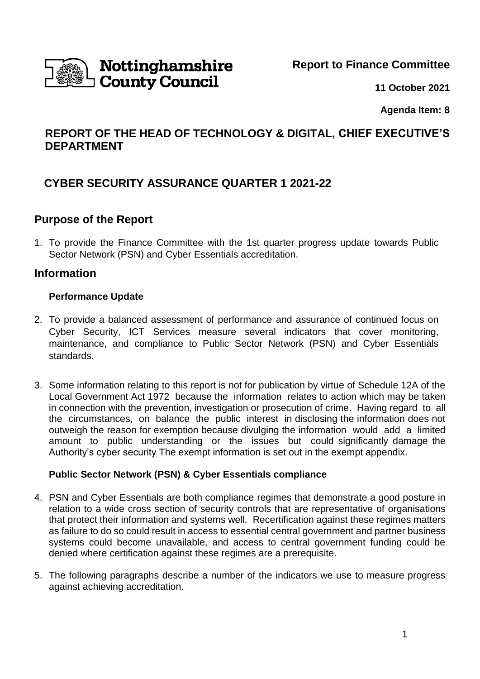Nottinghamshire **County Council** 

**Report to Finance Committee**

**11 October 2021**

**Agenda Item: 8**

## **REPORT OF THE HEAD OF TECHNOLOGY & DIGITAL, CHIEF EXECUTIVE'S DEPARTMENT**

## **CYBER SECURITY ASSURANCE QUARTER 1 2021-22**

### **Purpose of the Report**

1. To provide the Finance Committee with the 1st quarter progress update towards Public Sector Network (PSN) and Cyber Essentials accreditation.

### **Information**

#### **Performance Update**

- 2. To provide a balanced assessment of performance and assurance of continued focus on Cyber Security, ICT Services measure several indicators that cover monitoring, maintenance, and compliance to Public Sector Network (PSN) and Cyber Essentials standards.
- 3. Some information relating to this report is not for publication by virtue of Schedule 12A of the Local Government Act 1972 because the information relates to action which may be taken in connection with the prevention, investigation or prosecution of crime. Having regard to all the circumstances, on balance the public interest in disclosing the information does not outweigh the reason for exemption because divulging the information would add a limited amount to public understanding or the issues but could significantly damage the Authority's cyber security The exempt information is set out in the exempt appendix.

#### **Public Sector Network (PSN) & Cyber Essentials compliance**

- 4. PSN and Cyber Essentials are both compliance regimes that demonstrate a good posture in relation to a wide cross section of security controls that are representative of organisations that protect their information and systems well. Recertification against these regimes matters as failure to do so could result in access to essential central government and partner business systems could become unavailable, and access to central government funding could be denied where certification against these regimes are a prerequisite.
- 5. The following paragraphs describe a number of the indicators we use to measure progress against achieving accreditation.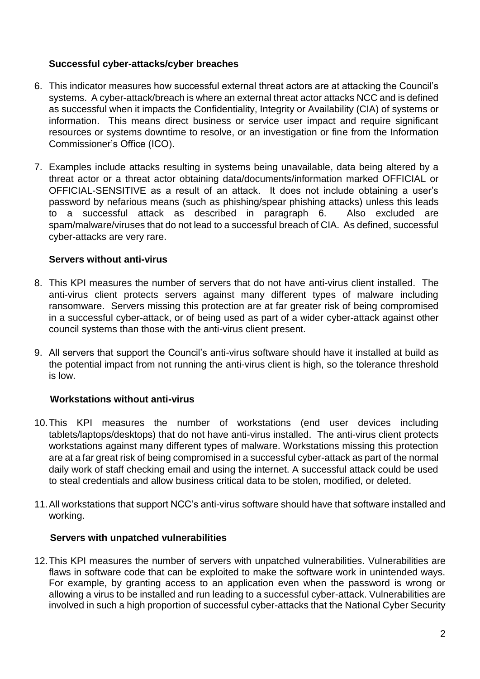#### **Successful cyber-attacks/cyber breaches**

- 6. This indicator measures how successful external threat actors are at attacking the Council's systems. A cyber-attack/breach is where an external threat actor attacks NCC and is defined as successful when it impacts the Confidentiality, Integrity or Availability (CIA) of systems or information. This means direct business or service user impact and require significant resources or systems downtime to resolve, or an investigation or fine from the Information Commissioner's Office (ICO).
- 7. Examples include attacks resulting in systems being unavailable, data being altered by a threat actor or a threat actor obtaining data/documents/information marked OFFICIAL or OFFICIAL-SENSITIVE as a result of an attack. It does not include obtaining a user's password by nefarious means (such as phishing/spear phishing attacks) unless this leads to a successful attack as described in paragraph 6. Also excluded are spam/malware/viruses that do not lead to a successful breach of CIA. As defined, successful cyber-attacks are very rare.

#### **Servers without anti-virus**

- 8. This KPI measures the number of servers that do not have anti-virus client installed. The anti-virus client protects servers against many different types of malware including ransomware. Servers missing this protection are at far greater risk of being compromised in a successful cyber-attack, or of being used as part of a wider cyber-attack against other council systems than those with the anti-virus client present.
- 9. All servers that support the Council's anti-virus software should have it installed at build as the potential impact from not running the anti-virus client is high, so the tolerance threshold is low.

#### **Workstations without anti-virus**

- 10.This KPI measures the number of workstations (end user devices including tablets/laptops/desktops) that do not have anti-virus installed. The anti-virus client protects workstations against many different types of malware. Workstations missing this protection are at a far great risk of being compromised in a successful cyber-attack as part of the normal daily work of staff checking email and using the internet. A successful attack could be used to steal credentials and allow business critical data to be stolen, modified, or deleted.
- 11.All workstations that support NCC's anti-virus software should have that software installed and working.

#### **Servers with unpatched vulnerabilities**

12.This KPI measures the number of servers with unpatched vulnerabilities. Vulnerabilities are flaws in software code that can be exploited to make the software work in unintended ways. For example, by granting access to an application even when the password is wrong or allowing a virus to be installed and run leading to a successful cyber-attack. Vulnerabilities are involved in such a high proportion of successful cyber-attacks that the National Cyber Security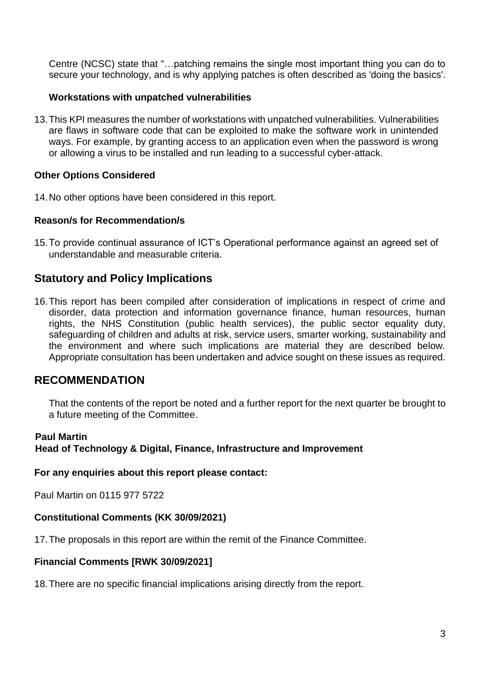Centre (NCSC) state that "…patching remains the single most important thing you can do to secure your technology, and is why applying patches is often described as 'doing the basics'.

#### **Workstations with unpatched vulnerabilities**

13.This KPI measures the number of workstations with unpatched vulnerabilities. Vulnerabilities are flaws in software code that can be exploited to make the software work in unintended ways. For example, by granting access to an application even when the password is wrong or allowing a virus to be installed and run leading to a successful cyber-attack.

#### **Other Options Considered**

14.No other options have been considered in this report.

#### **Reason/s for Recommendation/s**

15.To provide continual assurance of ICT's Operational performance against an agreed set of understandable and measurable criteria.

## **Statutory and Policy Implications**

16.This report has been compiled after consideration of implications in respect of crime and disorder, data protection and information governance finance, human resources, human rights, the NHS Constitution (public health services), the public sector equality duty, safeguarding of children and adults at risk, service users, smarter working, sustainability and the environment and where such implications are material they are described below. Appropriate consultation has been undertaken and advice sought on these issues as required.

## **RECOMMENDATION**

That the contents of the report be noted and a further report for the next quarter be brought to a future meeting of the Committee.

#### **Paul Martin**

**Head of Technology & Digital, Finance, Infrastructure and Improvement**

**For any enquiries about this report please contact:**

Paul Martin on 0115 977 5722

#### **Constitutional Comments (KK 30/09/2021)**

17.The proposals in this report are within the remit of the Finance Committee.

#### **Financial Comments [RWK 30/09/2021]**

18.There are no specific financial implications arising directly from the report.